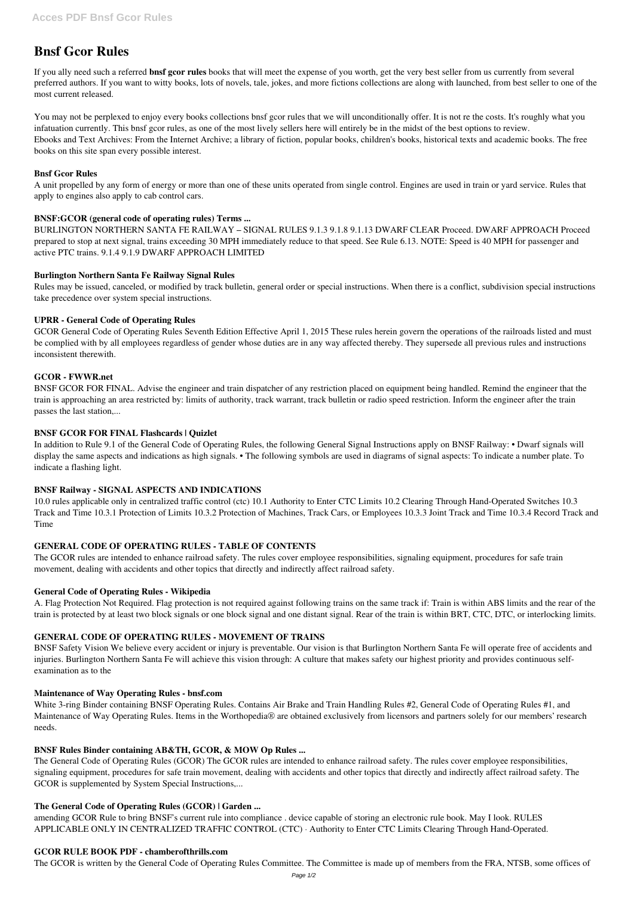# **Bnsf Gcor Rules**

If you ally need such a referred **bnsf gcor rules** books that will meet the expense of you worth, get the very best seller from us currently from several preferred authors. If you want to witty books, lots of novels, tale, jokes, and more fictions collections are along with launched, from best seller to one of the most current released.

You may not be perplexed to enjoy every books collections bnsf gcor rules that we will unconditionally offer. It is not re the costs. It's roughly what you infatuation currently. This bnsf gcor rules, as one of the most lively sellers here will entirely be in the midst of the best options to review. Ebooks and Text Archives: From the Internet Archive; a library of fiction, popular books, children's books, historical texts and academic books. The free books on this site span every possible interest.

## **Bnsf Gcor Rules**

A unit propelled by any form of energy or more than one of these units operated from single control. Engines are used in train or yard service. Rules that apply to engines also apply to cab control cars.

# **BNSF:GCOR (general code of operating rules) Terms ...**

BURLINGTON NORTHERN SANTA FE RAILWAY – SIGNAL RULES 9.1.3 9.1.8 9.1.13 DWARF CLEAR Proceed. DWARF APPROACH Proceed prepared to stop at next signal, trains exceeding 30 MPH immediately reduce to that speed. See Rule 6.13. NOTE: Speed is 40 MPH for passenger and active PTC trains. 9.1.4 9.1.9 DWARF APPROACH LIMITED

# **Burlington Northern Santa Fe Railway Signal Rules**

Rules may be issued, canceled, or modified by track bulletin, general order or special instructions. When there is a conflict, subdivision special instructions take precedence over system special instructions.

# **UPRR - General Code of Operating Rules**

GCOR General Code of Operating Rules Seventh Edition Effective April 1, 2015 These rules herein govern the operations of the railroads listed and must be complied with by all employees regardless of gender whose duties are in any way affected thereby. They supersede all previous rules and instructions inconsistent therewith.

## **GCOR - FWWR.net**

BNSF GCOR FOR FINAL. Advise the engineer and train dispatcher of any restriction placed on equipment being handled. Remind the engineer that the train is approaching an area restricted by: limits of authority, track warrant, track bulletin or radio speed restriction. Inform the engineer after the train passes the last station,...

## **BNSF GCOR FOR FINAL Flashcards | Quizlet**

In addition to Rule 9.1 of the General Code of Operating Rules, the following General Signal Instructions apply on BNSF Railway: • Dwarf signals will display the same aspects and indications as high signals. • The following symbols are used in diagrams of signal aspects: To indicate a number plate. To indicate a flashing light.

## **BNSF Railway - SIGNAL ASPECTS AND INDICATIONS**

10.0 rules applicable only in centralized traffic control (ctc) 10.1 Authority to Enter CTC Limits 10.2 Clearing Through Hand-Operated Switches 10.3 Track and Time 10.3.1 Protection of Limits 10.3.2 Protection of Machines, Track Cars, or Employees 10.3.3 Joint Track and Time 10.3.4 Record Track and Time

## **GENERAL CODE OF OPERATING RULES - TABLE OF CONTENTS**

The GCOR rules are intended to enhance railroad safety. The rules cover employee responsibilities, signaling equipment, procedures for safe train movement, dealing with accidents and other topics that directly and indirectly affect railroad safety.

## **General Code of Operating Rules - Wikipedia**

A. Flag Protection Not Required. Flag protection is not required against following trains on the same track if: Train is within ABS limits and the rear of the train is protected by at least two block signals or one block signal and one distant signal. Rear of the train is within BRT, CTC, DTC, or interlocking limits.

# **GENERAL CODE OF OPERATING RULES - MOVEMENT OF TRAINS**

BNSF Safety Vision We believe every accident or injury is preventable. Our vision is that Burlington Northern Santa Fe will operate free of accidents and injuries. Burlington Northern Santa Fe will achieve this vision through: A culture that makes safety our highest priority and provides continuous selfexamination as to the

#### **Maintenance of Way Operating Rules - bnsf.com**

White 3-ring Binder containing BNSF Operating Rules. Contains Air Brake and Train Handling Rules #2, General Code of Operating Rules #1, and Maintenance of Way Operating Rules. Items in the Worthopedia® are obtained exclusively from licensors and partners solely for our members' research needs.

## **BNSF Rules Binder containing AB&TH, GCOR, & MOW Op Rules ...**

The General Code of Operating Rules (GCOR) The GCOR rules are intended to enhance railroad safety. The rules cover employee responsibilities, signaling equipment, procedures for safe train movement, dealing with accidents and other topics that directly and indirectly affect railroad safety. The GCOR is supplemented by System Special Instructions,...

## **The General Code of Operating Rules (GCOR) | Garden ...**

amending GCOR Rule to bring BNSF's current rule into compliance . device capable of storing an electronic rule book. May I look. RULES APPLICABLE ONLY IN CENTRALIZED TRAFFIC CONTROL (CTC) · Authority to Enter CTC Limits Clearing Through Hand-Operated.

## **GCOR RULE BOOK PDF - chamberofthrills.com**

The GCOR is written by the General Code of Operating Rules Committee. The Committee is made up of members from the FRA, NTSB, some offices of